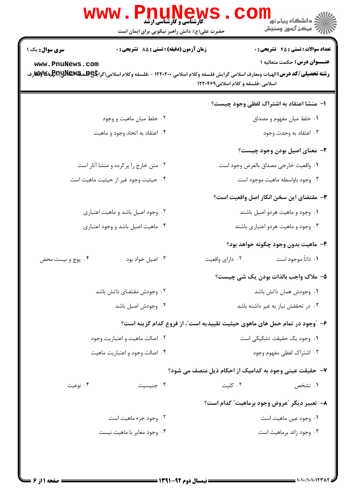|                        | WWW . PIN<br><b>کارشناسی و کارشناسی ارشد</b><br>حضرت علی(ع): دانش راهبر نیکویی برای ایمان است | ڪ دانشڪاه پيا <sub>م</sub> نور<br><mark>ر</mark> 7 مرڪز آزمون وسنڊش                                                                                                                                                                              |  |
|------------------------|-----------------------------------------------------------------------------------------------|--------------------------------------------------------------------------------------------------------------------------------------------------------------------------------------------------------------------------------------------------|--|
| <b>سری سوال :</b> یک ۱ | زمان آزمون (دقیقه) : تستی : 85 تشریحی : 0                                                     | <b>تعداد سوالات : تستي : 45 گشريحي : 0</b>                                                                                                                                                                                                       |  |
| www.PnuNews.com        |                                                                                               | <b>عنـــوان درس:</b> حکمت متعالیه ۱<br><b>رشته تحصیلی/کد درس: ا</b> لهیات ومعارف اسلامی گرایش فلسفه وکلام اسلامی ۱۲۲۰۲۰۰ - ،فلسفه وکلام اسلامی(گرا <del>یاًا&amp;UAR</del> RR وفا <b>لیاهایا به</b> ینیاوفا<br>اسلامی-فلسفه و کلام اسلامی۱۲۲۰۴۶۹ |  |
|                        |                                                                                               | ا– منشا اعتقاد به اشتراک لفظی وجود چیست؟                                                                                                                                                                                                         |  |
|                        | ۰۲ خلط میان ماهیت و وجود                                                                      | ۰۱ خلط میان مفهوم و مصداق                                                                                                                                                                                                                        |  |
|                        | ۰۴ اعتقاد به اتحاد وجود و ماهيت                                                               | ۰۳ اعتقاد به وحدت وجود                                                                                                                                                                                                                           |  |
|                        |                                                                                               | ۲- معنای اصیل بودن وجود چیست؟                                                                                                                                                                                                                    |  |
|                        | ۰۲ متن خارج را پرکرده و منشا آثار است                                                         | ١. واقعيت خارجي مصداق بالعرض وجود است                                                                                                                                                                                                            |  |
|                        | ۰۴ حیثیت وجود غیر از حیثیت ماهیت است                                                          | ۰۳ وجود باواسطه ماهيت موجود است                                                                                                                                                                                                                  |  |
|                        |                                                                                               | <b>۳</b> - مقتضای این سخن انکار اصل واقعیت است؟                                                                                                                                                                                                  |  |
|                        | ۰۲ وجود اصیل باشد و ماهیت اعتباری                                                             | ۰۱ وجود و ماهیت هردو اصیل باشند                                                                                                                                                                                                                  |  |
|                        | ۰۴ ماهیت اصیل باشد و وجود اعتباری                                                             | ۰۳ وجود و ماهیت هردو اعتباری باشند                                                                                                                                                                                                               |  |
|                        |                                                                                               | ۴– ماهيت بدون وجود چگونه خواهد بود؟                                                                                                                                                                                                              |  |
| ۰۴ پوچ و نیست محض      | ۰۳ اصيل خواد بود                                                                              | ٠١. ذاتاً موجود است<br>٠٢ داراي واقعيت                                                                                                                                                                                                           |  |
|                        |                                                                                               | ۵- ملاک واجب بالذات بودن یک شی چیست؟                                                                                                                                                                                                             |  |
|                        | ۰۲ وجودش مقتضای ذاتش باشد                                                                     | ٠١. وجودش همان ذاتش باشد                                                                                                                                                                                                                         |  |
|                        | ۰۴ وجودش اصيل باشد                                                                            | ۰۳ در تحققش نیاز به غیر داشته باشد                                                                                                                                                                                                               |  |
|                        |                                                                                               | ۶- ″وجود در تمام حمل های ماهوی حیثیت تقییدیه است″، از فروع کدام گزینه است؟                                                                                                                                                                       |  |
|                        | ۰۲ اصالت ماهيت و اعتباريت وجود                                                                | ٠١. وجود يک حقيقت تشکيکي است                                                                                                                                                                                                                     |  |
|                        | ۰۴ اصالت وجود و اعتباريت ماهيت                                                                | ۰۳ اشتراک لفظی مفهوم وجود                                                                                                                                                                                                                        |  |
|                        |                                                                                               | ۷- حقیقت عینی وجود به کدامیک از احکام ذیل متصف می شود؟                                                                                                                                                                                           |  |
| ۰۴ نوعیت               | ۰۳ جنيسيت                                                                                     | ۰۲ کلیت<br>۰۱ تشخص                                                                                                                                                                                                                               |  |
|                        |                                                                                               | ٨− تعبير ديگر "عروض وجود برماهيت" كدام است؟                                                                                                                                                                                                      |  |
|                        | ۰۲ وجود جزء ماهيت است                                                                         | ٠١ وجود عين ماهيت است                                                                                                                                                                                                                            |  |
|                        | ۰۴ وجود مغاير با ماهيت نيست                                                                   | ۰۳ وجود زائد برماهيت است                                                                                                                                                                                                                         |  |
|                        |                                                                                               |                                                                                                                                                                                                                                                  |  |
|                        |                                                                                               |                                                                                                                                                                                                                                                  |  |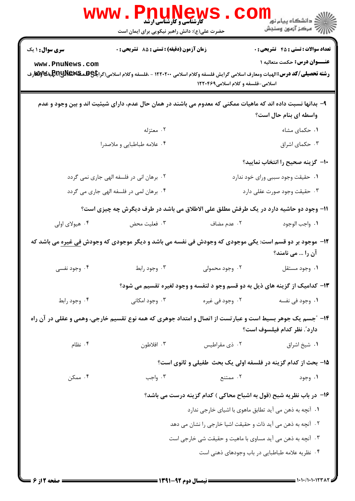|                        | WWW . F<br><b>VI U IN EW</b><br>کارشناسی و کارشناسی ارشد<br>حضرت علی(ع): دانش راهبر نیکویی برای ایمان است                                                |                                                                              | ڪ دانشڪاه پيام نور ■<br>// مرکز آزمون وسنجش |
|------------------------|----------------------------------------------------------------------------------------------------------------------------------------------------------|------------------------------------------------------------------------------|---------------------------------------------|
| <b>سری سوال : ۱ یک</b> | زمان آزمون (دقیقه) : تستی : 85 گشریحی : 0                                                                                                                |                                                                              | <b>تعداد سوالات : تستی : 45 گشریحی : 0</b>  |
| www.PnuNews.com        | <b>رشته تحصیلی/کد درس:</b> الهیات ومعارف اسلامی گرایش فلسفه وکلام اسلامی ۱۲۲۰۲۰۰ - ،فلسفه وکلام اسلامی(گرا <b>یگی&amp;RRUNE و اسلامی</b> (گرا <b>یگی</b> | اسلامی-فلسفه و کلام اسلامی۱۲۲۰۴۶۹                                            | <b>عنـــوان درس:</b> حکمت متعالیه ۱         |
|                        | ۹– بدانها نسبت داده اند که ماهیات ممکنی که معدوم می باشند در همان حال عدم، دارای شیئیت اند و بین وجود و عدم                                              |                                                                              | واسطه ای بنام حال است؟                      |
|                        | ۰۲ معتزله                                                                                                                                                |                                                                              | ٠١ حكماى مشاء                               |
|                        | ۰۴ علامه طباطبايي و ملاصدرا                                                                                                                              |                                                                              | ۰۳ حکمای اشراق                              |
|                        |                                                                                                                                                          |                                                                              | ∙۱- گزینه صحیح را انتخاب نمایید؟            |
|                        | ۰۲ برهان انی در فلسفه الهی جاری نمی گردد                                                                                                                 |                                                                              | ٠١ حقيقت وجود سببي وراي خود ندارد           |
|                        | ۰۴ برهان لمی در فلسفه الهی جاری می گردد                                                                                                                  | ۰۳ حقیقت وجود صورت عقلی دارد                                                 |                                             |
|                        | 11- وجود دو حاشیه دارد در یک طرفش مطلق علی الاطلاق می باشد در طرف دیگرش چه چیزی است؟                                                                     |                                                                              |                                             |
| ۰۴ هیولای اولی         | ۰۳ فعلیت محض                                                                                                                                             | ۰۲ عدم مضاف                                                                  | ٠١. واجب الوجود                             |
|                        | <b>۱۲</b> - موجود بر دو قسم است: یکی موجودی که وجودش فی نفسه می باشد و دیگر موجودی که وجودش ف <u>ی غیره</u> می باشد که                                   |                                                                              | آن را … می نامند؟                           |
| ۰۴ وجود نفسی           | ۰۳ وجود رابط                                                                                                                                             | ۰۲ وجود محمولی                                                               | ۰۱ وجود مستقل                               |
|                        |                                                                                                                                                          | ۱۳- کدامیک از گزینه های ذیل به دو قسم وجو د لنفسه و وجود لغیره تقسیم می شود؟ |                                             |
| ۰۴ وجود رابط           | ۰۳ وجود امکانی                                                                                                                                           | ۰۲ وجود في غيره                                                              | ٠١. وجود في نفسه                            |
|                        | ۱۴- "جسم یک جوهر بسیط است و عبارتست از اتصال و امتداد جوهری که همه نوع تقسیم خارجی، وهمی و عقلی در آن راه                                                |                                                                              | دارد". نظر كدام فيلسوف است؟                 |
| ۰۴ نظام                | ۰۳ افلاطون                                                                                                                                               | ۰۲ ذي مقراطيس                                                                | ٠١ شيخ اشراق                                |
|                        |                                                                                                                                                          | 15- بحث از کدام گزینه در فلسفه اولی یک بحث طفیلی و ثانوی است؟                |                                             |
| ۰۴ ممکن                | ۰۳ واجب                                                                                                                                                  | ۰۲ ممتنع                                                                     | ۰۱ وجود                                     |
|                        |                                                                                                                                                          | ۱۶– در باب نظریه شبح (قول به اشباح محاکی ) کدام گزینه درست می باشد؟          |                                             |
|                        |                                                                                                                                                          | ۰۱ آنچه به ذهن می آید تطابق ماهوی با اشیای خارجی ندارد                       |                                             |
|                        |                                                                                                                                                          | ۰۲ آنچه به ذهن می آید ذات و حقیقت اشیا خارجی را نشان می دهد                  |                                             |
|                        |                                                                                                                                                          | ۰۳ آنچه به ذهن می آید مساوی با ماهیت و حقیقت شی خارجی است                    |                                             |
|                        |                                                                                                                                                          | ۰۴ نظریه علامه طباطبایی در باب وجودهای ذهنی است                              |                                             |
|                        |                                                                                                                                                          |                                                                              |                                             |

 $= 1.1 - 11.1 - 1771$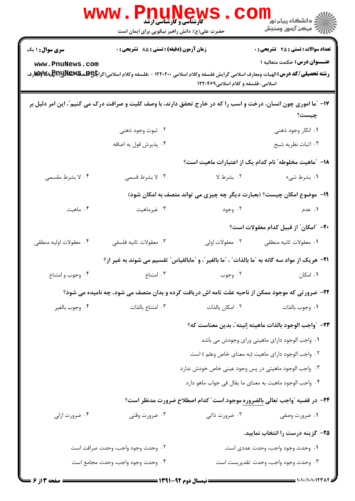|                        | <b>WWW.PNUNEWS</b><br><b>گارشناسی و کارشناسی ارشد</b><br>حضرت علی(ع): دانش راهبر نیکویی برای ایمان است                                          |                                                                                           | الان دانشگاه پيام نور <mark>- -</mark><br>۱۳۸۸ مرکز آزمون وسنجش |
|------------------------|-------------------------------------------------------------------------------------------------------------------------------------------------|-------------------------------------------------------------------------------------------|-----------------------------------------------------------------|
| <b>سری سوال : ۱ یک</b> | زمان آزمون (دقیقه) : تستی : 85 گشریحی : 0                                                                                                       |                                                                                           | <b>تعداد سوالات : تستي : 45 گشريحي : 0</b>                      |
| www.PnuNews.com        |                                                                                                                                                 |                                                                                           | <b>عنـــوان درس:</b> حکمت متعالیه ۱                             |
|                        | <b>رشته تحصیلی/کد درس:</b> الهیات ومعارف اسلامی گرایش فلسفه وکلام اسلامی ۱۲۲۰۲۰۰ - ،فلسفه وکلام اسلامی(گرا <b>یگی&amp;RRUNE و او&amp;</b> لیتیا | اسلامی-فلسفه و کلام اسلامی۱۲۲۰۴۶۹                                                         |                                                                 |
|                        | ۱۷- "ما اموری چون انسان، درخت و اسب را که در خارج تحقق دارند، با وصف کلیت و صرافت درک می کنیم"، این امر دلیل بر                                 |                                                                                           | چیست؟                                                           |
|                        | ۰۲ ثبوت وجود ذهني                                                                                                                               |                                                                                           | ۰۱ انکار وجود ذهنی                                              |
|                        | ۰۴ پذیرش قول به اضافه                                                                                                                           |                                                                                           | ۰۳ اثبات نظريه شبح                                              |
|                        |                                                                                                                                                 | ۱۸– ″ماهیت مخلوطه″ نام کدام یک از اعتبارات ماهیت است؟                                     |                                                                 |
| ۰۴ لا بشرط مقسمى       | ۰۳ لا بشرط قسمی                                                                                                                                 | ۰۲ بشرط لا                                                                                | ۰۱ بشرط شيء                                                     |
|                        |                                                                                                                                                 | ۱۹- موضوع امکان چیست؟ (بعبارت دیگر چه چیزی می تواند متصف به امکان شود)                    |                                                                 |
| ۰۴ ماهیت               | ۰۳ غیرماهیت                                                                                                                                     | ۰۲ وجود                                                                                   | ۰۱ عدم                                                          |
|                        |                                                                                                                                                 |                                                                                           | +٢- ″امكان″ از قبيل كدام معقولات است؟                           |
| ۰۴ معقولات اوليه منطقى | ۰۳ معقولات ثانيه فلسفي                                                                                                                          | ۰۲ معقولات اولی                                                                           | ٠١ معقولات ثانيه منطقى                                          |
|                        | <b>۲۱</b> - هریک از مواد سه گانه به "ما بالذات" ، "ما بالغیر"، و "مابالقیاس" تقسیم می شوند به غیر از؟                                           |                                                                                           |                                                                 |
| ۰۴ وجوب و امتناع       | ۰۳ امتناع                                                                                                                                       | ۰۲ وجوب                                                                                   | ۰۱ امکان                                                        |
|                        | ۲۲- ضرورتی که موجود ممکن از ناحیه علت تامه اش دریافت کرده و بدان متصف می شود، چه نامیده می شود؟                                                 |                                                                                           |                                                                 |
| ۰۴ وجوب بالغير         | ۰۳ امتناع بالذات                                                                                                                                | ۰۲ امکان بالذات                                                                           | ٠١. وجوب بالذات                                                 |
|                        |                                                                                                                                                 |                                                                                           | ٢٣- ″واجب الوجود بالذات ماهيته إنيته″، بدين معناست كه؟          |
|                        |                                                                                                                                                 |                                                                                           | ۰۱ واجب الوجود دارای ماهیتی ورای وجودش می باشد                  |
|                        |                                                                                                                                                 | ۲. واجب الوجود دارای ماهیت (به معنای خاص وعلم ) است                                       |                                                                 |
|                        |                                                                                                                                                 | ۰۳ واجب الوجود ماهیتی در پس وجود عینی خاص خودش ندارد                                      |                                                                 |
|                        |                                                                                                                                                 | ۰۴ واجب الوجود ماهيت به معناى ما يقال في جواب ماهو دارد                                   |                                                                 |
|                        |                                                                                                                                                 | <b>۲۴</b> - در قضیه  ؒواجب تعالی <u>بالضروره</u> موجود است ؒ کدام اصطلاح ضرورت مدنظر است؟ |                                                                 |
| ۰۴ ضرورت ازلی          | ۰۳ ضرورت وقتی                                                                                                                                   | ۰۲ ضرورت ذاتی                                                                             | ۰۱ ضرورت وصفی                                                   |
|                        |                                                                                                                                                 |                                                                                           | ۲۵– گزینه درست را انتخاب نمایید.                                |
|                        | ۰۲ وحدت وجود واجب، وحدت صرافت است                                                                                                               |                                                                                           | ۰۱ وحدت وجود واجب، وحدت عددی است                                |
|                        | ۰۴ وحدت وجود واجب، وحدت مجامع است                                                                                                               |                                                                                           | ۰۳ وحدت وجود واجب، وحدت تقديريست است                            |
| <b>: صفحه 3 از 6</b>   |                                                                                                                                                 |                                                                                           |                                                                 |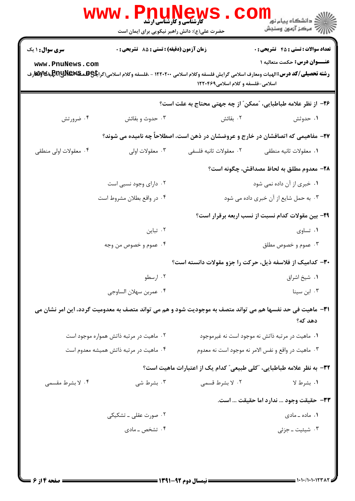|                                                                                                                                                                                                                                                                                                                                                                       | <b>www.Pnunew</b><br><b>.<br/>کارشناسی و کارشناسی ارشد</b><br>حضرت علی(ع): دانش راهبر نیکویی برای ایمان است       |                        | رد دانشڪاه پيام نور ■<br>  <i> &gt;</i><br> }                                     |
|-----------------------------------------------------------------------------------------------------------------------------------------------------------------------------------------------------------------------------------------------------------------------------------------------------------------------------------------------------------------------|-------------------------------------------------------------------------------------------------------------------|------------------------|-----------------------------------------------------------------------------------|
| زمان آزمون (دقیقه) : تستی : 85 گشریحی : 0<br><b>تعداد سوالات : تستي : 45 گشريحي : 0</b><br><b>سری سوال : ۱ یک</b><br>عنـــوان درس: حکمت متعالیه ۱<br>www.PnuNews.com<br><b>رشته تحصیلی/کد درس:</b> الهیات ومعارف اسلامی گرایش فلسفه وکلام اسلامی ۱۲۲۰۲۰۰ - ،فلسفه وکلام اسلامی(گرا <b>یگی&amp;RRUNE و اسلامی</b> (گرا <b>یگی</b><br>اسلامی-فلسفه و کلام اسلامی۱۲۲۰۴۶۹ |                                                                                                                   |                        |                                                                                   |
|                                                                                                                                                                                                                                                                                                                                                                       |                                                                                                                   |                        | ۲۶– از نظر علامه طباطبایی، "ممکن" از چه جهتی محتاج به علت است؟                    |
| ۰۴ ضرورتش                                                                                                                                                                                                                                                                                                                                                             | ۰۳ حدوث و بقائش                                                                                                   | ۰۲ بقائش               | ۰۱ حدوثش                                                                          |
|                                                                                                                                                                                                                                                                                                                                                                       |                                                                                                                   |                        | ۲۷- مفاهیمی که اتصافشان در خارج و عروضشان در ذهن است، اصطلاحاً چه نامیده می شوند؟ |
| ۰۴ معقولات اولی منطقی                                                                                                                                                                                                                                                                                                                                                 | ۰۳ معقولات اولی                                                                                                   | ٠٢ معقولات ثانيه فلسفى | ٠١ معقولات ثانيه منطقى                                                            |
|                                                                                                                                                                                                                                                                                                                                                                       |                                                                                                                   |                        | ۲۸– معدوم مطلق به لحاظ مصداقش، چگونه است؟                                         |
|                                                                                                                                                                                                                                                                                                                                                                       | ۰۲ دارای وجود نسبی است                                                                                            |                        | ٠١ خبرى از آن داده نمى شود                                                        |
|                                                                                                                                                                                                                                                                                                                                                                       | ۰۴ در واقع بطلان مشروط است                                                                                        |                        | ۰۳ به حمل شایع از آن خبری داده می شود                                             |
|                                                                                                                                                                                                                                                                                                                                                                       |                                                                                                                   |                        | ۲۹– بین مقولات کدام نسبت از نسب اربعه برقرار است؟                                 |
|                                                                                                                                                                                                                                                                                                                                                                       | ۰۲ تباین                                                                                                          |                        | ۰۱ تساوی                                                                          |
|                                                                                                                                                                                                                                                                                                                                                                       | ۰۴ عموم و خصوص من وجه                                                                                             |                        | ۰۳ عموم و خصوص مطلق                                                               |
|                                                                                                                                                                                                                                                                                                                                                                       |                                                                                                                   |                        | ۳۰– کدامیک از فلاسفه ذیل، حرکت را جزو مقولات دانسته است؟                          |
|                                                                                                                                                                                                                                                                                                                                                                       | ۰۲ ارسطو                                                                                                          |                        | ٠١ شيخ اشراق                                                                      |
|                                                                                                                                                                                                                                                                                                                                                                       | ۰۴ عمربن سهلان الساوجي                                                                                            |                        | ۰۳ ابن سينا                                                                       |
|                                                                                                                                                                                                                                                                                                                                                                       | <b>۳۱</b> – ماهیت فی حد نفسها هم می تواند متصف به موجودیت شود و هم می تواند متصف به معدومیت گردد، این امر نشان می |                        | دهد که؟                                                                           |
|                                                                                                                                                                                                                                                                                                                                                                       | ۰۲ ماهیت در مرتبه ذاتش همواره موجود است                                                                           |                        | ۰۱ ماهیت در مرتبه ذاتش نه موجود است نه غیرموجود                                   |
|                                                                                                                                                                                                                                                                                                                                                                       | ۰۴ ماهیت در مرتبه ذاتش همیشه معدوم است                                                                            |                        | ۰۳ ماهیت در واقع و نفس الامر نه موجود است نه معدوم                                |
|                                                                                                                                                                                                                                                                                                                                                                       |                                                                                                                   |                        | ٣٢- به نظر علامه طباطبايي، "كلي طبيعي" كدام يک از اعتبارات ماهيت است؟             |
| ۰۴ لا بشرط مقسمی                                                                                                                                                                                                                                                                                                                                                      | ۰۳ بشرط شی                                                                                                        | ۰۲ لا بشرط قسمی        | ١. بشرط لا                                                                        |
|                                                                                                                                                                                                                                                                                                                                                                       |                                                                                                                   |                        | ٣٣– حقيقت وجود  ندارد اما حقيقت  است.                                             |
|                                                                                                                                                                                                                                                                                                                                                                       | ۰۲ صورت عقلی ـ تشکیکی                                                                                             |                        | ۰۱ ماده ـ مادی                                                                    |
|                                                                                                                                                                                                                                                                                                                                                                       | ۰۴ تشخص ــ مادی                                                                                                   |                        | ۰۳ شیئیت ــ جزئی                                                                  |
|                                                                                                                                                                                                                                                                                                                                                                       |                                                                                                                   |                        |                                                                                   |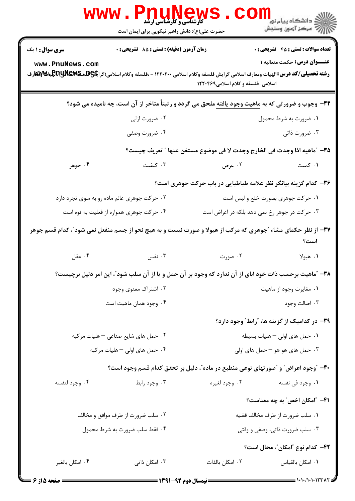|                                           | <b>WWW.PNUNews</b><br><b>گارشناسی و کارشناسی ارشد</b><br>حضرت علی(ع): دانش راهبر نیکویی برای ایمان است                                                                                    |                                                                         | ر دانشگاه پيام نور <mark>− .</mark><br>ار <i>آ</i> > مرکز آزمون وسنجش             |
|-------------------------------------------|-------------------------------------------------------------------------------------------------------------------------------------------------------------------------------------------|-------------------------------------------------------------------------|-----------------------------------------------------------------------------------|
| <b>سری سوال : ۱ یک</b><br>www.PnuNews.com | زمان آزمون (دقیقه) : تستی : 85 گشریحی : 0<br><b>رشته تحصیلی/کد درس:</b> الهیات ومعارف اسلامی گرایش فلسفه وکلام اسلامی ۱۲۲۰۲۰۰ - ،فلسفه وکلام اسلامی(گرا <b>یگی&amp;RRUNE و اولای</b><br>. | اسلامی-فلسفه و کلام اسلامی۱۲۲۰۴۶۹                                       | <b>تعداد سوالات : تستي : 45 گشريحي : 0</b><br><b>عنـــوان درس:</b> حکمت متعالیه ۱ |
|                                           | <b>۳۴</b> - وجوب و ضرورتی که به <u>ماهیت وجود یافته</u> ملحق می گردد و رتبتاً متاخر از آن است، چه نامیده می شود؟                                                                          |                                                                         |                                                                                   |
|                                           | ۰۲ ضرورت ازلی                                                                                                                                                                             |                                                                         | ۰۱ ضرورت به شرط محمول                                                             |
|                                           | ۰۴ ضرورت وصفی                                                                                                                                                                             |                                                                         | ۰۳ ضرورت ذاتی                                                                     |
|                                           |                                                                                                                                                                                           | ٣٥- "ماهيه اذا وجدت في الخارج وجدت لا في موضوع مستغن عنها " تعريف چيست؟ |                                                                                   |
| ۰۴ جوهر                                   | ۰۳ کیفیت                                                                                                                                                                                  | ۰۲ عرض                                                                  | ۰۱ کمیت                                                                           |
|                                           |                                                                                                                                                                                           | ۳۶- کدام گزینه بیانگر نظر علامه طباطبایی در باب حرکت جوهری است؟         |                                                                                   |
|                                           | ۰۲ حرکت جوهری عالم ماده رو به سوی تجرد دارد                                                                                                                                               |                                                                         | ۰۱ حرکت جوهری بصورت خلع و لبس است                                                 |
|                                           | ۰۴ حرکت جوهری همواره از فعلیت به قوه است                                                                                                                                                  |                                                                         | ۰۳ حرکت در جوهر رخ نمی دهد بلکه در اعراض است                                      |
|                                           | ۳۷- از نظر حکمای مشاء "جوهری که مرکب از هیولا و صورت نیست و به هیچ نحو از جسم منفعل نمی شود"، کدام قسم جوهر                                                                               |                                                                         | است؟                                                                              |
| ۰۴ عقل                                    | ۰۳ نفس                                                                                                                                                                                    | ۰۲ صورت                                                                 | ١. هيولا                                                                          |
|                                           | ۳۸- ″ماهیت برحسب ذات خود ابای از آن ندارد که وجود بر آن حمل و یا از آن سلب شود″، این امر دلیل برچیست؟                                                                                     |                                                                         |                                                                                   |
|                                           | ۰۲ اشتراک معنوی وجود                                                                                                                                                                      |                                                                         | ٠١ مغايرت وجود از ماهيت                                                           |
|                                           | ۰۴ وجود همان ماهيت است                                                                                                                                                                    |                                                                         | ۰۳ اصالت وجود                                                                     |
|                                           |                                                                                                                                                                                           |                                                                         | ۳۹- در کدامیک از گزینه ها، "رابط" وجود دارد؟                                      |
|                                           | ۰۲ حمل های شایع صناعی – هلیات مرکبه                                                                                                                                                       |                                                                         | ۰۱ حمل های اولی - هلیات بسیطه                                                     |
|                                           | ۰۴ حمل های اولی – هلیات مرکبه                                                                                                                                                             |                                                                         | ۰۳ حمل های هو هو – حمل های اولی                                                   |
|                                           | ۴۰- "وجود اعراض" و "صورتهای نوعی منطبع در ماده"، دلیل بر تحقق کدام قسم وجود است؟                                                                                                          |                                                                         |                                                                                   |
| ۰۴ وجود لنفسه                             | ۰۳ وجود رابط                                                                                                                                                                              | ۰۲ وجود لغیره                                                           | ٠١. وجود في نفسه                                                                  |
|                                           |                                                                                                                                                                                           |                                                                         | ۴۱– ″امکان ا <i>خص″</i> به چه معناست؟                                             |
|                                           | ۰۲ سلب ضرورت از طرف موافق و مخالف                                                                                                                                                         |                                                                         | ٠١ سلب ضرورت از طرف مخالف قضيه                                                    |
|                                           | ۰۴ فقط سلب ضرورت به شرط محمول                                                                                                                                                             |                                                                         | ۰۳ سلب ضرورت ذاتی، وصفی و وقتی                                                    |
|                                           |                                                                                                                                                                                           |                                                                         | ۴۲– کدام نوع "امکان"، محال است؟                                                   |
| ۰۴ امکان بالغیر                           | ۰۳ امکان ذاتی                                                                                                                                                                             | ٠٢ امكان بالذات                                                         | ٠١ امكان بالقياس                                                                  |
|                                           |                                                                                                                                                                                           |                                                                         |                                                                                   |